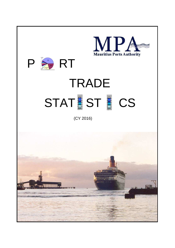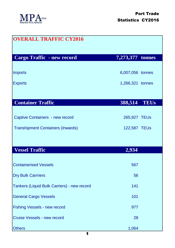

| <b>OVERALL TRAFFIC CY2016</b>               |                  |
|---------------------------------------------|------------------|
| <b>Cargo Traffic - new record</b>           | 7,273,377 tonnes |
| <b>Imports</b>                              | 6,007,056 tonnes |
| <b>Exports</b>                              | 1,266,321 tonnes |
|                                             |                  |
| <b>Container Traffic</b>                    | 388,514 TEUs     |
| <b>Captive Containers - new record</b>      | 265,927 TEUs     |
| <b>Transhipment Containers (Inwards)</b>    | 122,587 TEUs     |
|                                             |                  |
| <b>Vessel Traffic</b>                       | 2,934            |
| <b>Containerised Vessels</b>                | 567              |
| <b>Dry Bulk Carrriers</b>                   | 56               |
| Tankers (Liquid Bulk Carriers) - new record | 141              |
| <b>General Cargo Vessels</b>                | 101              |
| <b>Fishing Vessels - new record</b>         | 977              |
| <b>Cruise Vessels - new record</b>          | 28               |
| <b>Others</b>                               | 1,064            |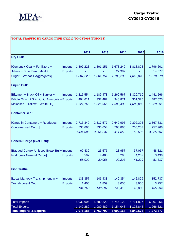

## **TOTAL TRAFFIC BY CARGO TYPE CY2012 TO CY2016 (TONNES)**

|                                             |                | 2012      | 2013      | 2014      | 2015        | 2016      |
|---------------------------------------------|----------------|-----------|-----------|-----------|-------------|-----------|
| <b>Dry Bulk:</b>                            |                |           |           |           |             |           |
|                                             |                |           |           |           |             |           |
| [Cement + Coal + Fertilizers +              | Imports        | 1,807,223 | 1,801,151 | 1,678,249 | 1,818,828   | 1,796,601 |
| Maize + Soya Bean Meal +                    | <b>Exports</b> |           |           | 27,989    |             | 14,077    |
| Sugar + Wheat + Aggregates]                 |                | 1,807,223 | 1,801,151 | 1,706,238 | 1,818,828   | 1,810,678 |
| <b>Liquid Bulk:</b>                         |                |           |           |           |             |           |
| [Bitumen + Black Oil + Bunker +             | Imports        | 1,216,554 | 1,189,478 | 1,260,567 | 1,320,710   | 1,441,566 |
| Edible Oil + LPG + Liquid Ammonia + Exports |                | 404,611   | 337,487   | 348,871   | 361,375     | 487,525   |
| Molasses + Tallow + White Oil]              |                | 1,621,165 | 1,526,965 | 1,609,438 | 1,682,085   | 1,929,091 |
| <b>Containerised:</b>                       |                |           |           |           |             |           |
| [Cargo in Containers + Rodrigues'           | Imports        | 2,713,340 | 2,517,577 | 2,642,993 | 2,392,393   | 2,567,831 |
| <b>Containerised Cargo]</b>                 | <b>Exports</b> | 730,666   | 736,654   | 768,866   | 760,203     | 757,966   |
|                                             |                | 3,444,006 | 3,254,231 | 3,411,859 | 3, 152, 596 | 3,325,797 |
| <b>General Cargo (excl Fish):</b>           |                |           |           |           |             |           |
| [Bagged Cargo+ Unitised Break Bulk Imports  |                | 62,432    | 25,576    | 23,957    | 37,067      | 48,321    |
| <b>Rodrigues General Cargo]</b>             | <b>Exports</b> | 5,597     | 4,480     | 5,266     | 4,262       | 3,496     |
|                                             |                | 68,029    | 30,056    | 29,223    | 41,329      | 51,817    |
| <b>Fish Traffic:</b>                        |                |           |           |           |             |           |
| [Local Market + Transhipment In +           | <b>Imports</b> | 133,357   | 146,438   | 140,354   | 142,829     | 152,737   |
| <b>Transhipment Out]</b>                    | <b>Exports</b> | 1,406     | 1,859     | 3,056     | 3,006       | 3,257     |
|                                             |                | 134,763   | 148,297   | 143,410   | 145,835     | 155,994   |
|                                             |                |           |           |           |             |           |
| <b>Total Imports</b>                        |                | 5,932,906 | 5,680,220 | 5,746,120 | 5,711,827   | 6,007,056 |
| <b>Total Exports</b>                        |                | 1,142,280 | 1,080,480 | 1,154,048 | 1,128,846   | 1,266,321 |
| <b>Total Imports &amp; Exports</b>          |                | 7,075,186 | 6,760,700 | 6,900,168 | 6,840,673   | 7,273,377 |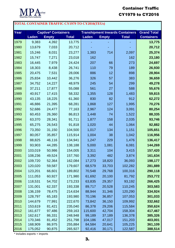

## Container Traffic CY1979 to CY2016

| <b>TOTAL CONTAINER TRAFFIC CY1979 TO CY2016(TEUs)</b> |                            |                  |                    |                                        |                  |                    |                    |  |
|-------------------------------------------------------|----------------------------|------------------|--------------------|----------------------------------------|------------------|--------------------|--------------------|--|
| Year                                                  | <b>Captive* Containers</b> |                  |                    | <b>Transhipment Inwards Containers</b> |                  |                    | <b>Grand Total</b> |  |
|                                                       | <b>Laden</b>               | <b>Empty</b>     | <b>Total</b>       | <b>Laden</b>                           | <b>Empty</b>     | <b>Total</b>       | <b>Containers</b>  |  |
| 1979                                                  | 9,383                      | 4,392            | 13,775             |                                        |                  |                    | 13,775             |  |
| 1980                                                  | 13,679                     | 7,033            | 20,712             |                                        |                  |                    | 20,712             |  |
| 1981                                                  | 15,246                     | 8,031            | 23,277             | 1,383                                  | 714              | 2,097              | 25,374             |  |
| 1982                                                  | 15,747                     | 7,271            | 23,018             | 162                                    |                  | 162                | 23,180             |  |
| 1983                                                  | 16,445                     | 7,979            | 24,424             | 207                                    | 66               | 273                | 24,697             |  |
| 1984                                                  | 18,303                     | 8,438            | 26,741             | 110                                    | 79               | 189                | 26,930             |  |
| 1985                                                  | 20,475                     | 7,531            | 28,006             | 886                                    | 12               | 898                | 28,904             |  |
| 1986                                                  | 25,834                     | 10,442           | 36,276             | 326                                    | 57               | 383                | 36,659             |  |
| 1987                                                  | 34,752                     | 14,227           | 48,979             | 245                                    | 54               | 299                | 49,278             |  |
| 1988                                                  | 37,211                     | 17,877           | 55,088             | 561                                    | 27               | 588                | 55,676             |  |
| 1989                                                  | 40,917                     | 17,415           | 58,332             | 1,355                                  | 128              | 1,483              | 59,815             |  |
| 1990                                                  | 43,135                     | 18,225           | 61,360             | 830                                    | 82               | 912                | 62,272             |  |
| 1991                                                  | 46,886                     | 21,395           | 68,281             | 1,868                                  | 127              | 1,995              | 70,276             |  |
| 1992                                                  | 52,686                     | 24,477           | 77,163             | 2,967                                  | 124              | 3,091              | 80,254             |  |
| 1993                                                  | 60,453                     | 26,360           | 86,813             | 1,448                                  | 74               | 1,522              | 88,335             |  |
| 1994                                                  | 63,370                     | 28,341           | 91,711             | 1,877                                  | 158              | 2,035              | 93,746             |  |
| 1995                                                  | 65,275                     | 26,543           | 91,818             | 1,020                                  | 44               | 1,064              | 92,882             |  |
| 1996                                                  | 73,350                     | 31,150           | 104,500            | 1,017                                  | 134              | 1,151              | 105,651            |  |
| 1997                                                  | 80,057                     | 35,857           | 115,914            | 1,004                                  | 38               | 1,042              | 116,956            |  |
| 1998                                                  | 88,825                     | 46,116           | 134,941            | 1,247                                  | 229              | 1,476              | 136,417            |  |
| 1999                                                  | 93,903                     | 44,285           | 138,188            | 5,000                                  | 1,081            | 6,081              | 144,269            |  |
| 2000                                                  | 103,019                    | 50,986           | 154,005            | 3,311                                  | 104              | 3,415              | 157,420            |  |
| 2001                                                  | 108,236                    | 49,524           | 157,760            | 3,392                                  | 482              | 3,874              | 161,634            |  |
| 2002                                                  | 109,720                    | 52,364           | 162,084            | 17,273                                 | 18,820           | 36,093             | 198,177            |  |
| 2003                                                  | 120,020                    | 59,587           | 179,607            | 68,579                                 | 33,703           | 102,282            | 281,889            |  |
| 2004                                                  | 123,201                    | 66,601           | 189,802            | 70,548                                 | 29,768           | 100,316            | 290,118            |  |
| 2005                                                  | 111,053                    | 60,927           | 171,980            | 61,692                                 | 20,100           | 81,792             | 253,772            |  |
| 2006                                                  | 118,531                    | 54,702           | 173,233            | 63,835                                 | 29,357           | 93,192             | 266,425            |  |
| 2007                                                  | 131,001                    | 62,337           | 193,338            | 89,717                                 | 20,528           | 110,245            | 303,583            |  |
| 2008                                                  | 136,159                    | 78,475           | 214,634            | 88,944                                 | 31,346           | 120,290            | 334,924            |  |
| 2009                                                  | 128,797                    | 65,183           | 193,980            | 70,196                                 | 36,857           | 107,053            | 301,033            |  |
| 2010                                                  | 144,679                    | 77,991           | 222,670            | 73,842                                 | 36,150           | 109,992            | 332,662            |  |
| 2011                                                  | 153,619                    | 81,421           | 235,040            | 86,378                                 | 29,206           | 115,584            | 350,624            |  |
| 2012                                                  | 161,677                    | 97,486           | 259,163            | 115,600                                | 42,704           | 158,304            | 417,467            |  |
| 2013                                                  | 162,617                    | 86,331           | 248,948            | 99,189                                 | 37,189           | 136,378            | 385,326            |  |
| 2014<br>2015                                          | 170,346<br>168,909         | 81,452<br>86,975 | 251,798<br>255,884 | 104,186<br>84,584                      | 47,017<br>20,641 | 151,203<br>105,225 | 403,001<br>361,109 |  |
| 2016                                                  | 175,052                    | 90,875           | 265,927            | 92,416                                 | 30,171           | 122,587            | 388,514            |  |

\* includes exports + imports